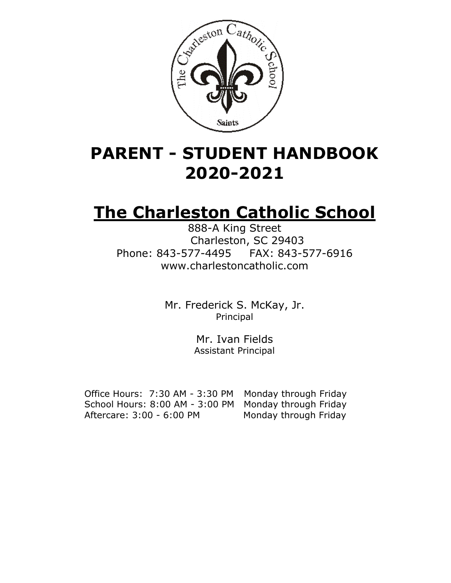

# **PARENT - STUDENT HANDBOOK 2020-2021**

# **The Charleston Catholic School**

888-A King Street Charleston, SC 29403 Phone: 843-577-4495 FAX: 843-577-6916 www.charlestoncatholic.com

> Mr. Frederick S. McKay, Jr. Principal

> > Mr. Ivan Fields Assistant Principal

 Office Hours: 7:30 AM - 3:30 PM Monday through Friday School Hours: 8:00 AM - 3:00 PM Monday through Friday Aftercare: 3:00 - 6:00 PM Monday through Friday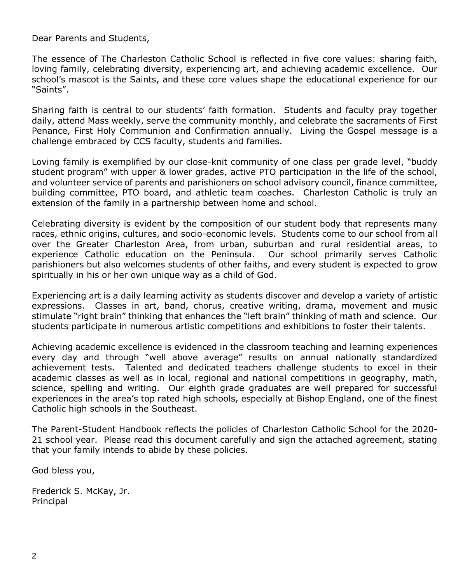Dear Parents and Students,

The essence of The Charleston Catholic School is reflected in five core values: sharing faith, loving family, celebrating diversity, experiencing art, and achieving academic excellence. Our school's mascot is the Saints, and these core values shape the educational experience for our "Saints".

Sharing faith is central to our students' faith formation. Students and faculty pray together daily, attend Mass weekly, serve the community monthly, and celebrate the sacraments of First Penance, First Holy Communion and Confirmation annually. Living the Gospel message is a challenge embraced by CCS faculty, students and families.

Loving family is exemplified by our close-knit community of one class per grade level, "buddy student program" with upper & lower grades, active PTO participation in the life of the school, and volunteer service of parents and parishioners on school advisory council, finance committee, building committee, PTO board, and athletic team coaches. Charleston Catholic is truly an extension of the family in a partnership between home and school.

Celebrating diversity is evident by the composition of our student body that represents many races, ethnic origins, cultures, and socio-economic levels. Students come to our school from all over the Greater Charleston Area, from urban, suburban and rural residential areas, to experience Catholic education on the Peninsula. Our school primarily serves Catholic parishioners but also welcomes students of other faiths, and every student is expected to grow spiritually in his or her own unique way as a child of God.

Experiencing art is a daily learning activity as students discover and develop a variety of artistic expressions. Classes in art, band, chorus, creative writing, drama, movement and music stimulate "right brain" thinking that enhances the "left brain" thinking of math and science. Our students participate in numerous artistic competitions and exhibitions to foster their talents.

Achieving academic excellence is evidenced in the classroom teaching and learning experiences every day and through "well above average" results on annual nationally standardized achievement tests. Talented and dedicated teachers challenge students to excel in their academic classes as well as in local, regional and national competitions in geography, math, science, spelling and writing. Our eighth grade graduates are well prepared for successful experiences in the area's top rated high schools, especially at Bishop England, one of the finest Catholic high schools in the Southeast.

The Parent-Student Handbook reflects the policies of Charleston Catholic School for the 2020- 21 school year. Please read this document carefully and sign the attached agreement, stating that your family intends to abide by these policies.

God bless you,

Frederick S. McKay, Jr. Principal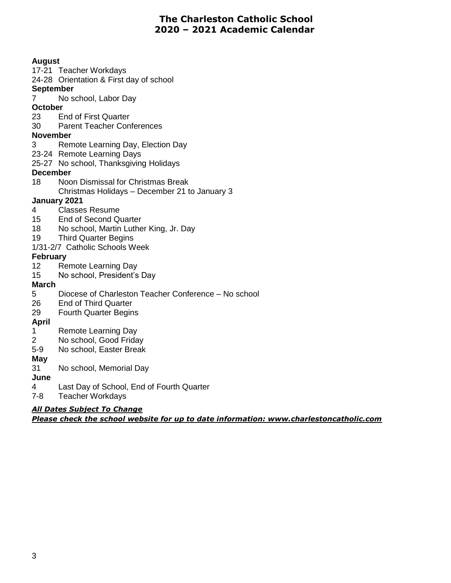# **The Charleston Catholic School 2020 – 2021 Academic Calendar**

**August** 17-21 Teacher Workdays 24-28 Orientation & First day of school **September** 7 No school, Labor Day **October** 23 End of First Quarter 30 Parent Teacher Conferences **November** 3 Remote Learning Day, Election Day 23-24 Remote Learning Days 25-27 No school, Thanksgiving Holidays **December** 18 Noon Dismissal for Christmas Break Christmas Holidays – December 21 to January 3 **January 2021** 4 Classes Resume 15 End of Second Quarter 18 No school, Martin Luther King, Jr. Day 19 Third Quarter Begins 1/31-2/7 Catholic Schools Week **February** 12 Remote Learning Day 15 No school, President's Day **March** 5 Diocese of Charleston Teacher Conference – No school 26 End of Third Quarter 29 Fourth Quarter Begins **April** 1 Remote Learning Day 2 No school, Good Friday 5-9 No school, Easter Break **May** 31 No school, Memorial Day **June** 4 Last Day of School, End of Fourth Quarter

7-8 Teacher Workdays

# *All Dates Subject To Change*

*Please check the school website for up to date information: www.charlestoncatholic.com*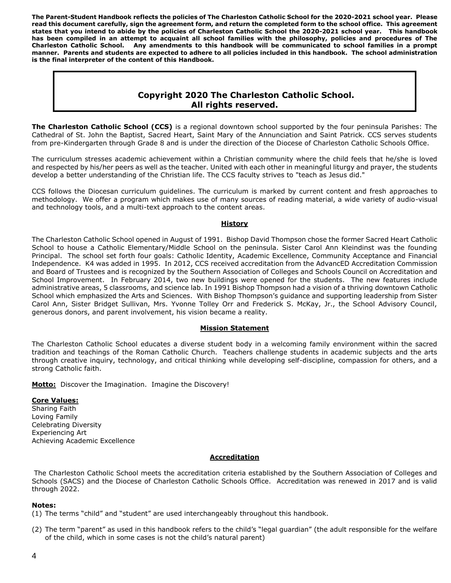**The Parent-Student Handbook reflects the policies of The Charleston Catholic School for the 2020-2021 school year. Please read this document carefully, sign the agreement form, and return the completed form to the school office. This agreement states that you intend to abide by the policies of Charleston Catholic School the 2020-2021 school year. This handbook has been compiled in an attempt to acquaint all school families with the philosophy, policies and procedures of The Charleston Catholic School. Any amendments to this handbook will be communicated to school families in a prompt manner. Parents and students are expected to adhere to all policies included in this handbook. The school administration is the final interpreter of the content of this Handbook.**

# **Copyright 2020 The Charleston Catholic School. All rights reserved.**

**The Charleston Catholic School (CCS)** is a regional downtown school supported by the four peninsula Parishes: The Cathedral of St. John the Baptist, Sacred Heart, Saint Mary of the Annunciation and Saint Patrick. CCS serves students from pre-Kindergarten through Grade 8 and is under the direction of the Diocese of Charleston Catholic Schools Office.

The curriculum stresses academic achievement within a Christian community where the child feels that he/she is loved and respected by his/her peers as well as the teacher. United with each other in meaningful liturgy and prayer, the students develop a better understanding of the Christian life. The CCS faculty strives to "teach as Jesus did."

CCS follows the Diocesan curriculum guidelines. The curriculum is marked by current content and fresh approaches to methodology. We offer a program which makes use of many sources of reading material, a wide variety of audio-visual and technology tools, and a multi-text approach to the content areas.

#### **History**

The Charleston Catholic School opened in August of 1991. Bishop David Thompson chose the former Sacred Heart Catholic School to house a Catholic Elementary/Middle School on the peninsula. Sister Carol Ann Kleindinst was the founding Principal. The school set forth four goals: Catholic Identity, Academic Excellence, Community Acceptance and Financial Independence. K4 was added in 1995. In 2012, CCS received accreditation from the AdvancED Accreditation Commission and Board of Trustees and is recognized by the Southern Association of Colleges and Schools Council on Accreditation and School Improvement. In February 2014, two new buildings were opened for the students. The new features include administrative areas, 5 classrooms, and science lab. In 1991 Bishop Thompson had a vision of a thriving downtown Catholic School which emphasized the Arts and Sciences. With Bishop Thompson's guidance and supporting leadership from Sister Carol Ann, Sister Bridget Sullivan, Mrs. Yvonne Tolley Orr and Frederick S. McKay, Jr., the School Advisory Council, generous donors, and parent involvement, his vision became a reality.

#### **Mission Statement**

The Charleston Catholic School educates a diverse student body in a welcoming family environment within the sacred tradition and teachings of the Roman Catholic Church. Teachers challenge students in academic subjects and the arts through creative inquiry, technology, and critical thinking while developing self-discipline, compassion for others, and a strong Catholic faith.

**Motto:** Discover the Imagination. Imagine the Discovery!

# **Core Values:**

Sharing Faith Loving Family Celebrating Diversity Experiencing Art Achieving Academic Excellence

# **Accreditation**

The Charleston Catholic School meets the accreditation criteria established by the Southern Association of Colleges and Schools (SACS) and the Diocese of Charleston Catholic Schools Office. Accreditation was renewed in 2017 and is valid through 2022.

#### **Notes:**

(1) The terms "child" and "student" are used interchangeably throughout this handbook.

(2) The term "parent" as used in this handbook refers to the child's "legal guardian" (the adult responsible for the welfare of the child, which in some cases is not the child's natural parent)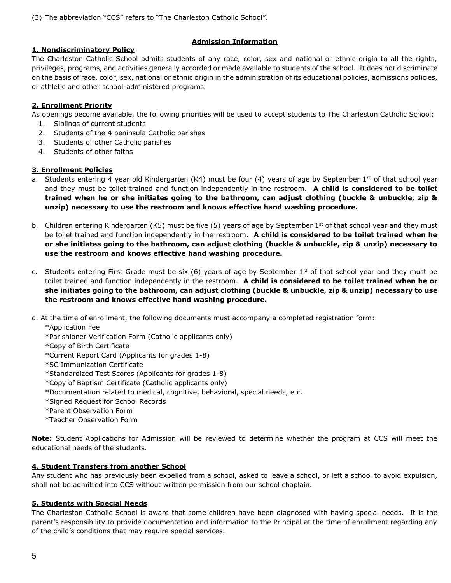(3) The abbreviation "CCS" refers to "The Charleston Catholic School".

# **Admission Information**

# **1. Nondiscriminatory Policy**

The Charleston Catholic School admits students of any race, color, sex and national or ethnic origin to all the rights, privileges, programs, and activities generally accorded or made available to students of the school. It does not discriminate on the basis of race, color, sex, national or ethnic origin in the administration of its educational policies, admissions policies, or athletic and other school-administered programs*.*

# **2. Enrollment Priority**

As openings become available, the following priorities will be used to accept students to The Charleston Catholic School:

- 1. Siblings of current students
- 2. Students of the 4 peninsula Catholic parishes
- 3. Students of other Catholic parishes
- 4. Students of other faiths

# **3. Enrollment Policies**

- a. Students entering 4 year old Kindergarten (K4) must be four (4) years of age by September  $1^{st}$  of that school year and they must be toilet trained and function independently in the restroom. **A child is considered to be toilet trained when he or she initiates going to the bathroom, can adjust clothing (buckle & unbuckle, zip & unzip) necessary to use the restroom and knows effective hand washing procedure.**
- b. Children entering Kindergarten (K5) must be five (5) years of age by September 1<sup>st</sup> of that school year and they must be toilet trained and function independently in the restroom. **A child is considered to be toilet trained when he or she initiates going to the bathroom, can adjust clothing (buckle & unbuckle, zip & unzip) necessary to use the restroom and knows effective hand washing procedure.**
- c. Students entering First Grade must be six (6) years of age by September  $1<sup>st</sup>$  of that school year and they must be toilet trained and function independently in the restroom. **A child is considered to be toilet trained when he or she initiates going to the bathroom, can adjust clothing (buckle & unbuckle, zip & unzip) necessary to use the restroom and knows effective hand washing procedure.**
- d. At the time of enrollment, the following documents must accompany a completed registration form:

\*Application Fee

- \*Parishioner Verification Form (Catholic applicants only)
- \*Copy of Birth Certificate
- \*Current Report Card (Applicants for grades 1-8)
- \*SC Immunization Certificate
- \*Standardized Test Scores (Applicants for grades 1-8)
- \*Copy of Baptism Certificate (Catholic applicants only)
- \*Documentation related to medical, cognitive, behavioral, special needs, etc.
- \*Signed Request for School Records
- \*Parent Observation Form
- \*Teacher Observation Form

**Note:** Student Applications for Admission will be reviewed to determine whether the program at CCS will meet the educational needs of the students.

# **4. Student Transfers from another School**

Any student who has previously been expelled from a school, asked to leave a school, or left a school to avoid expulsion, shall not be admitted into CCS without written permission from our school chaplain.

#### **5. Students with Special Needs**

The Charleston Catholic School is aware that some children have been diagnosed with having special needs. It is the parent's responsibility to provide documentation and information to the Principal at the time of enrollment regarding any of the child's conditions that may require special services.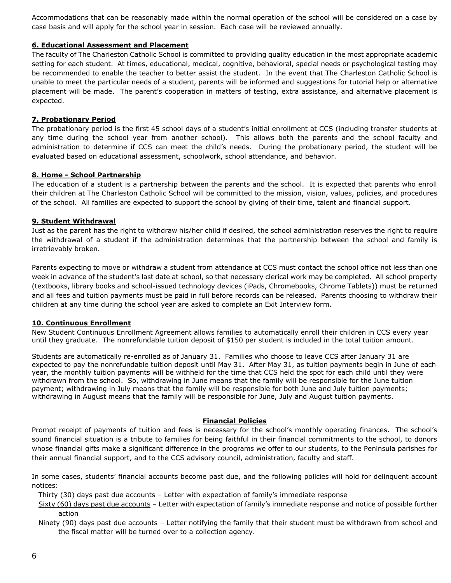Accommodations that can be reasonably made within the normal operation of the school will be considered on a case by case basis and will apply for the school year in session. Each case will be reviewed annually.

# **6. Educational Assessment and Placement**

The faculty of The Charleston Catholic School is committed to providing quality education in the most appropriate academic setting for each student. At times, educational, medical, cognitive, behavioral, special needs or psychological testing may be recommended to enable the teacher to better assist the student. In the event that The Charleston Catholic School is unable to meet the particular needs of a student, parents will be informed and suggestions for tutorial help or alternative placement will be made. The parent's cooperation in matters of testing, extra assistance, and alternative placement is expected.

# **7. Probationary Period**

The probationary period is the first 45 school days of a student's initial enrollment at CCS (including transfer students at any time during the school year from another school). This allows both the parents and the school faculty and administration to determine if CCS can meet the child's needs. During the probationary period, the student will be evaluated based on educational assessment, schoolwork, school attendance, and behavior.

# **8. Home - School Partnership**

The education of a student is a partnership between the parents and the school. It is expected that parents who enroll their children at The Charleston Catholic School will be committed to the mission, vision, values, policies, and procedures of the school. All families are expected to support the school by giving of their time, talent and financial support.

# **9. Student Withdrawal**

Just as the parent has the right to withdraw his/her child if desired, the school administration reserves the right to require the withdrawal of a student if the administration determines that the partnership between the school and family is irretrievably broken.

Parents expecting to move or withdraw a student from attendance at CCS must contact the school office not less than one week in advance of the student's last date at school, so that necessary clerical work may be completed. All school property (textbooks, library books and school-issued technology devices (iPads, Chromebooks, Chrome Tablets)) must be returned and all fees and tuition payments must be paid in full before records can be released. Parents choosing to withdraw their children at any time during the school year are asked to complete an Exit Interview form.

#### **10. Continuous Enrollment**

New Student Continuous Enrollment Agreement allows families to automatically enroll their children in CCS every year until they graduate. The nonrefundable tuition deposit of \$150 per student is included in the total tuition amount.

Students are automatically re-enrolled as of January 31. Families who choose to leave CCS after January 31 are expected to pay the nonrefundable tuition deposit until May 31. After May 31, as tuition payments begin in June of each year, the monthly tuition payments will be withheld for the time that CCS held the spot for each child until they were withdrawn from the school. So, withdrawing in June means that the family will be responsible for the June tuition payment; withdrawing in July means that the family will be responsible for both June and July tuition payments; withdrawing in August means that the family will be responsible for June, July and August tuition payments.

#### **Financial Policies**

Prompt receipt of payments of tuition and fees is necessary for the school's monthly operating finances. The school's sound financial situation is a tribute to families for being faithful in their financial commitments to the school, to donors whose financial gifts make a significant difference in the programs we offer to our students, to the Peninsula parishes for their annual financial support, and to the CCS advisory council, administration, faculty and staff.

In some cases, students' financial accounts become past due, and the following policies will hold for delinquent account notices:

Thirty (30) days past due accounts – Letter with expectation of family's immediate response

- Sixty (60) days past due accounts Letter with expectation of family's immediate response and notice of possible further action
- Ninety (90) days past due accounts Letter notifying the family that their student must be withdrawn from school and the fiscal matter will be turned over to a collection agency.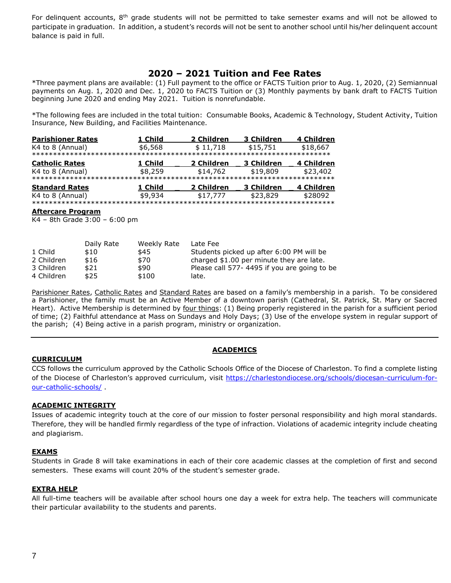For delinquent accounts, 8<sup>th</sup> grade students will not be permitted to take semester exams and will not be allowed to participate in graduation. In addition, a student's records will not be sent to another school until his/her delinquent account balance is paid in full.

# **2020 – 2021 Tuition and Fee Rates**

\*Three payment plans are available: (1) Full payment to the office or FACTS Tuition prior to Aug. 1, 2020, (2) Semiannual payments on Aug. 1, 2020 and Dec. 1, 2020 to FACTS Tuition or (3) Monthly payments by bank draft to FACTS Tuition beginning June 2020 and ending May 2021. Tuition is nonrefundable.

\*The following fees are included in the total tuition: Consumable Books, Academic & Technology, Student Activity, Tuition Insurance, New Building, and Facilities Maintenance.

| <b>Parishioner Rates</b> | 1 Child | 2 Children | 3 Children | 4 Children |
|--------------------------|---------|------------|------------|------------|
| K4 to 8 (Annual)         | \$6,568 | \$11,718   | \$15,751   | \$18,667   |
|                          |         |            |            |            |
| <b>Catholic Rates</b>    | 1 Child | 2 Children | 3 Children | 4 Children |
| K4 to 8 (Annual)         | \$8,259 | \$14,762   | \$19,809   | \$23,402   |
|                          |         |            |            |            |
| <b>Standard Rates</b>    | 1 Child | 2 Children | 3 Children | 4 Children |
| K4 to 8 (Annual)         | \$9,934 | \$17,777   | \$23,829   | \$28092    |
|                          |         |            |            |            |

#### **Aftercare Program**

K4 – 8th Grade 3:00 – 6:00 pm

|            | Daily Rate | Weekly Rate | Late Fee                                    |
|------------|------------|-------------|---------------------------------------------|
| 1 Child    | \$10       | \$45        | Students picked up after 6:00 PM will be    |
| 2 Children | \$16       | \$70        | charged \$1.00 per minute they are late.    |
| 3 Children | \$21       | \$90        | Please call 577-4495 if you are going to be |
| 4 Children | \$25       | \$100       | late.                                       |

Parishioner Rates, Catholic Rates and Standard Rates are based on a family's membership in a parish. To be considered a Parishioner, the family must be an Active Member of a downtown parish (Cathedral, St. Patrick, St. Mary or Sacred Heart). Active Membership is determined by four things: (1) Being properly registered in the parish for a sufficient period of time; (2) Faithful attendance at Mass on Sundays and Holy Days; (3) Use of the envelope system in regular support of the parish; (4) Being active in a parish program, ministry or organization.

# **ACADEMICS**

#### **CURRICULUM**

CCS follows the curriculum approved by the Catholic Schools Office of the Diocese of Charleston. To find a complete listing of the Diocese of Charleston's approved curriculum, visit [https://charlestondiocese.org/schools/diocesan-curriculum-for](https://charlestondiocese.org/schools/diocesan-curriculum-for-our-catholic-schools/)[our-catholic-schools/](https://charlestondiocese.org/schools/diocesan-curriculum-for-our-catholic-schools/) .

#### **ACADEMIC INTEGRITY**

Issues of academic integrity touch at the core of our mission to foster personal responsibility and high moral standards. Therefore, they will be handled firmly regardless of the type of infraction. Violations of academic integrity include cheating and plagiarism.

#### **EXAMS**

Students in Grade 8 will take examinations in each of their core academic classes at the completion of first and second semesters. These exams will count 20% of the student's semester grade.

#### **EXTRA HELP**

All full-time teachers will be available after school hours one day a week for extra help. The teachers will communicate their particular availability to the students and parents.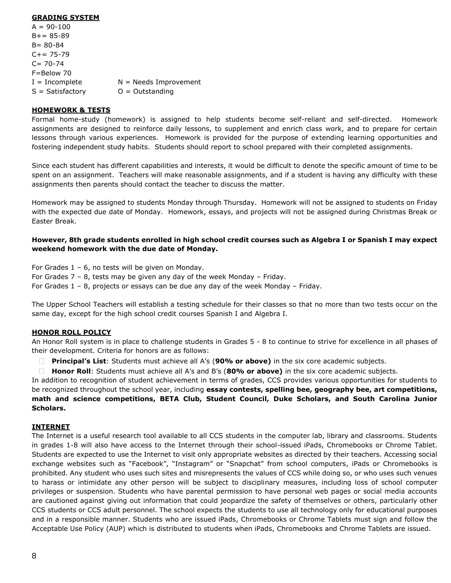#### **GRADING SYSTEM**

 $A = 90 - 100$  $B+= 85-89$ B= 80-84  $C += 75-79$  $C = 70 - 74$ F=Below 70  $I = Incomplete$   $N = Needs$  Improvement  $S = S$ atisfactory  $O = 0$ utstanding

# **HOMEWORK & TESTS**

Formal home-study (homework) is assigned to help students become self-reliant and self-directed. Homework assignments are designed to reinforce daily lessons, to supplement and enrich class work, and to prepare for certain lessons through various experiences. Homework is provided for the purpose of extending learning opportunities and fostering independent study habits. Students should report to school prepared with their completed assignments.

Since each student has different capabilities and interests, it would be difficult to denote the specific amount of time to be spent on an assignment. Teachers will make reasonable assignments, and if a student is having any difficulty with these assignments then parents should contact the teacher to discuss the matter.

Homework may be assigned to students Monday through Thursday. Homework will not be assigned to students on Friday with the expected due date of Monday. Homework, essays, and projects will not be assigned during Christmas Break or Easter Break.

#### **However, 8th grade students enrolled in high school credit courses such as Algebra I or Spanish I may expect weekend homework with the due date of Monday.**

For Grades  $1 - 6$ , no tests will be given on Monday.

For Grades 7 – 8, tests may be given any day of the week Monday – Friday.

For Grades 1 – 8, projects or essays can be due any day of the week Monday – Friday.

The Upper School Teachers will establish a testing schedule for their classes so that no more than two tests occur on the same day, except for the high school credit courses Spanish I and Algebra I.

# **HONOR ROLL POLICY**

An Honor Roll system is in place to challenge students in Grades 5 - 8 to continue to strive for excellence in all phases of their development. Criteria for honors are as follows:

**Principal's List**: Students must achieve all A's (**90% or above)** in the six core academic subjects.  $\Box$ 

 $\Box$ **Honor Roll**: Students must achieve all A's and B's (**80% or above)** in the six core academic subjects.

In addition to recognition of student achievement in terms of grades, CCS provides various opportunities for students to be recognized throughout the school year, including **essay contests, spelling bee, geography bee, art competitions, math and science competitions, BETA Club, Student Council, Duke Scholars, and South Carolina Junior Scholars.**

#### **INTERNET**

The Internet is a useful research tool available to all CCS students in the computer lab, library and classrooms. Students in grades 1-8 will also have access to the Internet through their school-issued iPads, Chromebooks or Chrome Tablet. Students are expected to use the Internet to visit only appropriate websites as directed by their teachers. Accessing social exchange websites such as "Facebook", "Instagram" or "Snapchat" from school computers, iPads or Chromebooks is prohibited. Any student who uses such sites and misrepresents the values of CCS while doing so, or who uses such venues to harass or intimidate any other person will be subject to disciplinary measures, including loss of school computer privileges or suspension. Students who have parental permission to have personal web pages or social media accounts are cautioned against giving out information that could jeopardize the safety of themselves or others, particularly other CCS students or CCS adult personnel. The school expects the students to use all technology only for educational purposes and in a responsible manner. Students who are issued iPads, Chromebooks or Chrome Tablets must sign and follow the Acceptable Use Policy (AUP) which is distributed to students when iPads, Chromebooks and Chrome Tablets are issued.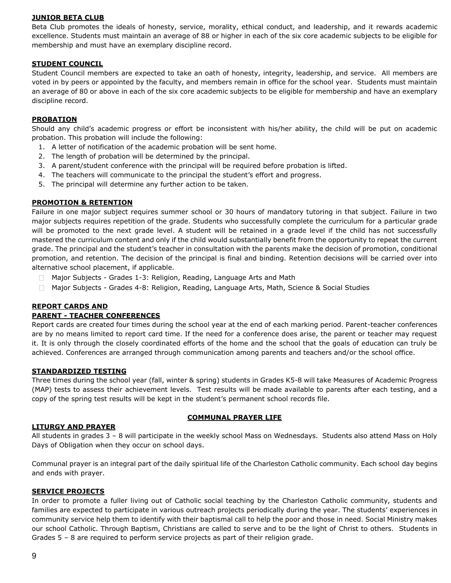#### **JUNIOR BETA CLUB**

Beta Club promotes the ideals of honesty, service, morality, ethical conduct, and leadership, and it rewards academic excellence. Students must maintain an average of 88 or higher in each of the six core academic subjects to be eligible for membership and must have an exemplary discipline record.

#### **STUDENT COUNCIL**

Student Council members are expected to take an oath of honesty, integrity, leadership, and service. All members are voted in by peers or appointed by the faculty, and members remain in office for the school year. Students must maintain an average of 80 or above in each of the six core academic subjects to be eligible for membership and have an exemplary discipline record.

# **PROBATION**

Should any child's academic progress or effort be inconsistent with his/her ability, the child will be put on academic probation. This probation will include the following:

- 1. A letter of notification of the academic probation will be sent home.
- 2. The length of probation will be determined by the principal.
- 3. A parent/student conference with the principal will be required before probation is lifted.
- 4. The teachers will communicate to the principal the student's effort and progress.
- 5. The principal will determine any further action to be taken.

# **PROMOTION & RETENTION**

Failure in one major subject requires summer school or 30 hours of mandatory tutoring in that subject. Failure in two major subjects requires repetition of the grade. Students who successfully complete the curriculum for a particular grade will be promoted to the next grade level. A student will be retained in a grade level if the child has not successfully mastered the curriculum content and only if the child would substantially benefit from the opportunity to repeat the current grade. The principal and the student's teacher in consultation with the parents make the decision of promotion, conditional promotion, and retention. The decision of the principal is final and binding. Retention decisions will be carried over into alternative school placement, if applicable.

- Major Subjects Grades 1-3: Religion, Reading, Language Arts and Math
- Major Subjects Grades 4-8: Religion, Reading, Language Arts, Math, Science & Social Studies

# **REPORT CARDS AND**

#### **PARENT - TEACHER CONFERENCES**

Report cards are created four times during the school year at the end of each marking period. Parent-teacher conferences are by no means limited to report card time. If the need for a conference does arise, the parent or teacher may request it. It is only through the closely coordinated efforts of the home and the school that the goals of education can truly be achieved. Conferences are arranged through communication among parents and teachers and/or the school office.

#### **STANDARDIZED TESTING**

Three times during the school year (fall, winter & spring) students in Grades K5-8 will take Measures of Academic Progress (MAP) tests to assess their achievement levels. Test results will be made available to parents after each testing, and a copy of the spring test results will be kept in the student's permanent school records file.

#### **LITURGY AND PRAYER**

#### **COMMUNAL PRAYER LIFE**

All students in grades 3 – 8 will participate in the weekly school Mass on Wednesdays. Students also attend Mass on Holy Days of Obligation when they occur on school days.

Communal prayer is an integral part of the daily spiritual life of the Charleston Catholic community. Each school day begins and ends with prayer.

#### **SERVICE PROJECTS**

In order to promote a fuller living out of Catholic social teaching by the Charleston Catholic community, students and families are expected to participate in various outreach projects periodically during the year. The students' experiences in community service help them to identify with their baptismal call to help the poor and those in need. Social Ministry makes our school Catholic. Through Baptism, Christians are called to serve and to be the light of Christ to others. Students in Grades 5 – 8 are required to perform service projects as part of their religion grade.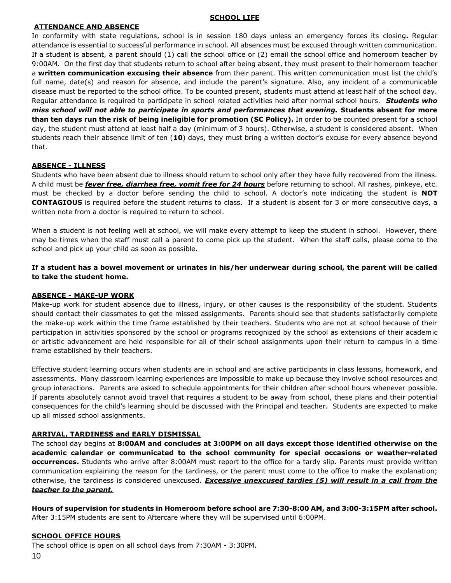#### **SCHOOL LIFE**

# **ATTENDANCE AND ABSENCE**

In conformity with state regulations, school is in session 180 days unless an emergency forces its closing**.** Regular attendance is essential to successful performance in school. All absences must be excused through written communication. If a student is absent, a parent should (1) call the school office or (2) email the school office and homeroom teacher by 9:00AM. On the first day that students return to school after being absent, they must present to their homeroom teacher a **written communication excusing their absence** from their parent. This written communication must list the child's full name, date(s) and reason for absence, and include the parent's signature. Also, any incident of a communicable disease must be reported to the school office. To be counted present, students must attend at least half of the school day. Regular attendance is required to participate in school related activities held after normal school hours. *Students who miss school will not able to participate in sports and performances that evening.* **Students absent for more than ten days run the risk of being ineligible for promotion (SC Policy).** In order to be counted present for a school day, the student must attend at least half a day (minimum of 3 hours). Otherwise, a student is considered absent.When students reach their absence limit of ten (**10**) days, they must bring a written doctor's excuse for every absence beyond that.

# **ABSENCE - ILLNESS**

Students who have been absent due to illness should return to school only after they have fully recovered from the illness. A child must be *fever free, diarrhea free, vomit free for 24 hours* before returning to school. All rashes, pinkeye, etc. must be checked by a doctor before sending the child to school. A doctor's note indicating the student is **NOT CONTAGIOUS** is required before the student returns to class. If a student is absent for 3 or more consecutive days, a written note from a doctor is required to return to school.

When a student is not feeling well at school, we will make every attempt to keep the student in school. However, there may be times when the staff must call a parent to come pick up the student. When the staff calls, please come to the school and pick up your child as soon as possible.

# **If a student has a bowel movement or urinates in his/her underwear during school, the parent will be called to take the student home.**

# **ABSENCE - MAKE-UP WORK**

Make-up work for student absence due to illness, injury, or other causes is the responsibility of the student. Students should contact their classmates to get the missed assignments. Parents should see that students satisfactorily complete the make-up work within the time frame established by their teachers. Students who are not at school because of their participation in activities sponsored by the school or programs recognized by the school as extensions of their academic or artistic advancement are held responsible for all of their school assignments upon their return to campus in a time frame established by their teachers.

Effective student learning occurs when students are in school and are active participants in class lessons, homework, and assessments. Many classroom learning experiences are impossible to make up because they involve school resources and group interactions. Parents are asked to schedule appointments for their children after school hours whenever possible. If parents absolutely cannot avoid travel that requires a student to be away from school, these plans and their potential consequences for the child's learning should be discussed with the Principal and teacher. Students are expected to make up all missed school assignments.

# **ARRIVAL, TARDINESS and EARLY DISMISSAL**

The school day begins at **8:00AM and concludes at 3:00PM on all days except those identified otherwise on the academic calendar or communicated to the school community for special occasions or weather-related occurrences.** Students who arrive after 8:00AM must report to the office for a tardy slip. Parents must provide written communication explaining the reason for the tardiness, or the parent must come to the office to make the explanation; otherwise, the tardiness is considered unexcused. *Excessive unexcused tardies (5) will result in a call from the teacher to the parent.*

**Hours of supervision for students in Homeroom before school are 7:30-8:00 AM, and 3:00-3:15PM after school.** After 3:15PM students are sent to Aftercare where they will be supervised until 6:00PM.

# **SCHOOL OFFICE HOURS**

10 The school office is open on all school days from 7:30AM - 3:30PM.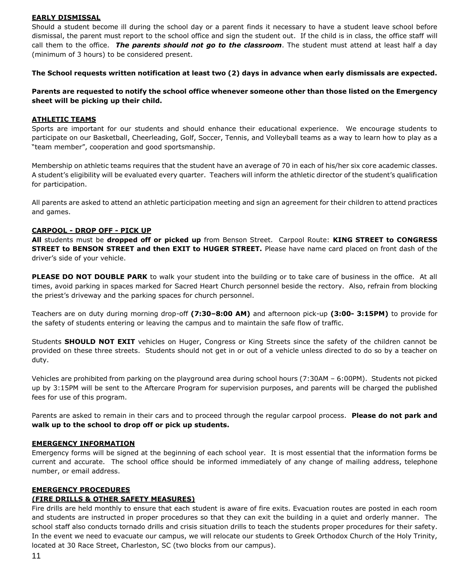#### **EARLY DISMISSAL**

Should a student become ill during the school day or a parent finds it necessary to have a student leave school before dismissal, the parent must report to the school office and sign the student out. If the child is in class, the office staff will call them to the office. *The parents should not go to the classroom*. The student must attend at least half a day (minimum of 3 hours) to be considered present.

**The School requests written notification at least two (2) days in advance when early dismissals are expected.** 

**Parents are requested to notify the school office whenever someone other than those listed on the Emergency sheet will be picking up their child.**

#### **ATHLETIC TEAMS**

Sports are important for our students and should enhance their educational experience. We encourage students to participate on our Basketball, Cheerleading, Golf, Soccer, Tennis, and Volleyball teams as a way to learn how to play as a "team member", cooperation and good sportsmanship.

Membership on athletic teams requires that the student have an average of 70 in each of his/her six core academic classes. A student's eligibility will be evaluated every quarter. Teachers will inform the athletic director of the student's qualification for participation.

All parents are asked to attend an athletic participation meeting and sign an agreement for their children to attend practices and games.

#### **CARPOOL - DROP OFF - PICK UP**

**All** students must be **dropped off or picked up** from Benson Street. Carpool Route: **KING STREET to CONGRESS STREET to BENSON STREET and then EXIT to HUGER STREET.** Please have name card placed on front dash of the driver's side of your vehicle.

**PLEASE DO NOT DOUBLE PARK** to walk your student into the building or to take care of business in the office. At all times, avoid parking in spaces marked for Sacred Heart Church personnel beside the rectory. Also, refrain from blocking the priest's driveway and the parking spaces for church personnel.

Teachers are on duty during morning drop-off **(7:30–8:00 AM)** and afternoon pick-up **(3:00- 3:15PM)** to provide for the safety of students entering or leaving the campus and to maintain the safe flow of traffic.

Students **SHOULD NOT EXIT** vehicles on Huger, Congress or King Streets since the safety of the children cannot be provided on these three streets. Students should not get in or out of a vehicle unless directed to do so by a teacher on duty.

Vehicles are prohibited from parking on the playground area during school hours (7:30AM – 6:00PM). Students not picked up by 3:15PM will be sent to the Aftercare Program for supervision purposes, and parents will be charged the published fees for use of this program.

Parents are asked to remain in their cars and to proceed through the regular carpool process. **Please do not park and walk up to the school to drop off or pick up students.**

#### **EMERGENCY INFORMATION**

Emergency forms will be signed at the beginning of each school year. It is most essential that the information forms be current and accurate. The school office should be informed immediately of any change of mailing address, telephone number, or email address.

#### **EMERGENCY PROCEDURES**

# **(FIRE DRILLS & OTHER SAFETY MEASURES)**

Fire drills are held monthly to ensure that each student is aware of fire exits. Evacuation routes are posted in each room and students are instructed in proper procedures so that they can exit the building in a quiet and orderly manner. The school staff also conducts tornado drills and crisis situation drills to teach the students proper procedures for their safety. In the event we need to evacuate our campus, we will relocate our students to Greek Orthodox Church of the Holy Trinity, located at 30 Race Street, Charleston, SC (two blocks from our campus).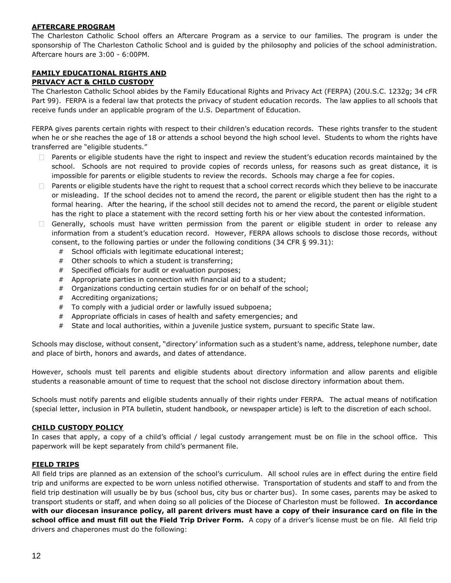# **AFTERCARE PROGRAM**

The Charleston Catholic School offers an Aftercare Program as a service to our families. The program is under the sponsorship of The Charleston Catholic School and is guided by the philosophy and policies of the school administration. Aftercare hours are 3:00 - 6:00PM.

#### **FAMILY EDUCATIONAL RIGHTS AND PRIVACY ACT & CHILD CUSTODY**

The Charleston Catholic School abides by the Family Educational Rights and Privacy Act (FERPA) (20U.S.C. 1232g; 34 cFR Part 99). FERPA is a federal law that protects the privacy of student education records. The law applies to all schools that receive funds under an applicable program of the U.S. Department of Education.

FERPA gives parents certain rights with respect to their children's education records. These rights transfer to the student when he or she reaches the age of 18 or attends a school beyond the high school level. Students to whom the rights have transferred are "eligible students."

- $\Box$  Parents or eligible students have the right to inspect and review the student's education records maintained by the school. Schools are not required to provide copies of records unless, for reasons such as great distance, it is impossible for parents or eligible students to review the records. Schools may charge a fee for copies.
- Parents or eligible students have the right to request that a school correct records which they believe to be inaccurate  $\Box$ or misleading. If the school decides not to amend the record, the parent or eligible student then has the right to a formal hearing. After the hearing, if the school still decides not to amend the record, the parent or eligible student has the right to place a statement with the record setting forth his or her view about the contested information.
- Generally, schools must have written permission from the parent or eligible student in order to release any information from a student's education record. However, FERPA allows schools to disclose those records, without consent, to the following parties or under the following conditions (34 CFR § 99.31):
	- # School officials with legitimate educational interest;
	- # Other schools to which a student is transferring;
	- # Specified officials for audit or evaluation purposes;
	- # Appropriate parties in connection with financial aid to a student;
	- # Organizations conducting certain studies for or on behalf of the school;
	- # Accrediting organizations;
	- # To comply with a judicial order or lawfully issued subpoena;
	- # Appropriate officials in cases of health and safety emergencies; and
	- # State and local authorities, within a juvenile justice system, pursuant to specific State law.

Schools may disclose, without consent, "directory' information such as a student's name, address, telephone number, date and place of birth, honors and awards, and dates of attendance.

However, schools must tell parents and eligible students about directory information and allow parents and eligible students a reasonable amount of time to request that the school not disclose directory information about them.

Schools must notify parents and eligible students annually of their rights under FERPA. The actual means of notification (special letter, inclusion in PTA bulletin, student handbook, or newspaper article) is left to the discretion of each school.

# **CHILD CUSTODY POLICY**

In cases that apply, a copy of a child's official / legal custody arrangement must be on file in the school office. This paperwork will be kept separately from child's permanent file.

#### **FIELD TRIPS**

All field trips are planned as an extension of the school's curriculum. All school rules are in effect during the entire field trip and uniforms are expected to be worn unless notified otherwise. Transportation of students and staff to and from the field trip destination will usually be by bus (school bus, city bus or charter bus). In some cases, parents may be asked to transport students or staff, and when doing so all policies of the Diocese of Charleston must be followed. **In accordance with our diocesan insurance policy, all parent drivers must have a copy of their insurance card on file in the school office and must fill out the Field Trip Driver Form.** A copy of a driver's license must be on file. All field trip drivers and chaperones must do the following: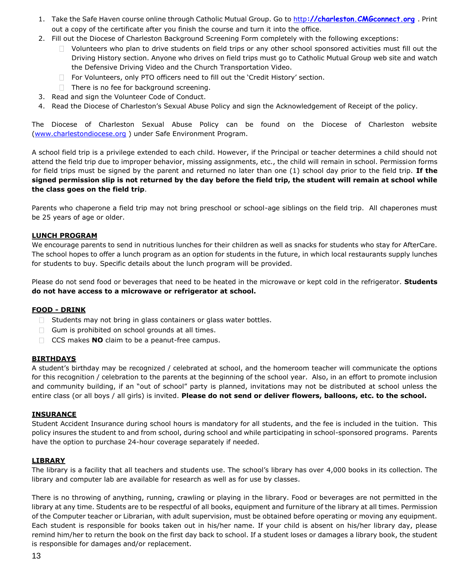- 1. Take the Safe Haven course online through Catholic Mutual Group. Go to http**[://charleston.CMGconnect.org](http://charleston.cmgconnect.org/)** . Print out a copy of the certificate after you finish the course and turn it into the office.
- 2. Fill out the Diocese of Charleston Background Screening Form completely with the following exceptions:
	- Volunteers who plan to drive students on field trips or any other school sponsored activities must fill out the Driving History section. Anyone who drives on field trips must go to Catholic Mutual Group web site and watch the Defensive Driving Video and the Church Transportation Video.
	- $\Box$  For Volunteers, only PTO officers need to fill out the 'Credit History' section.
	- $\Box$  There is no fee for background screening.
- 3. Read and sign the Volunteer Code of Conduct.
- 4. Read the Diocese of Charleston's Sexual Abuse Policy and sign the Acknowledgement of Receipt of the policy.

The Diocese of Charleston Sexual Abuse Policy can be found on the Diocese of Charleston website [\(www.charlestondiocese.org](http://www.charlestondiocese.org/) ) under Safe Environment Program.

A school field trip is a privilege extended to each child. However, if the Principal or teacher determines a child should not attend the field trip due to improper behavior, missing assignments, etc., the child will remain in school. Permission forms for field trips must be signed by the parent and returned no later than one (1) school day prior to the field trip. **If the signed permission slip is not returned by the day before the field trip, the student will remain at school while the class goes on the field trip**.

Parents who chaperone a field trip may not bring preschool or school-age siblings on the field trip. All chaperones must be 25 years of age or older.

#### **LUNCH PROGRAM**

We encourage parents to send in nutritious lunches for their children as well as snacks for students who stay for AfterCare. The school hopes to offer a lunch program as an option for students in the future, in which local restaurants supply lunches for students to buy. Specific details about the lunch program will be provided.

Please do not send food or beverages that need to be heated in the microwave or kept cold in the refrigerator. **Students do not have access to a microwave or refrigerator at school.**

#### **FOOD - DRINK**

- $\Box$  Students may not bring in glass containers or glass water bottles.
- $\Box$  Gum is prohibited on school grounds at all times.
- CCS makes **NO** claim to be a peanut-free campus.

#### **BIRTHDAYS**

A student's birthday may be recognized / celebrated at school, and the homeroom teacher will communicate the options for this recognition / celebration to the parents at the beginning of the school year. Also, in an effort to promote inclusion and community building, if an "out of school" party is planned, invitations may not be distributed at school unless the entire class (or all boys / all girls) is invited. **Please do not send or deliver flowers, balloons, etc. to the school.**

#### **INSURANCE**

Student Accident Insurance during school hours is mandatory for all students, and the fee is included in the tuition. This policy insures the student to and from school, during school and while participating in school-sponsored programs. Parents have the option to purchase 24-hour coverage separately if needed.

#### **LIBRARY**

The library is a facility that all teachers and students use. The school's library has over 4,000 books in its collection. The library and computer lab are available for research as well as for use by classes.

There is no throwing of anything, running, crawling or playing in the library. Food or beverages are not permitted in the library at any time. Students are to be respectful of all books, equipment and furniture of the library at all times. Permission of the Computer teacher or Librarian, with adult supervision, must be obtained before operating or moving any equipment. Each student is responsible for books taken out in his/her name. If your child is absent on his/her library day, please remind him/her to return the book on the first day back to school. If a student loses or damages a library book, the student is responsible for damages and/or replacement.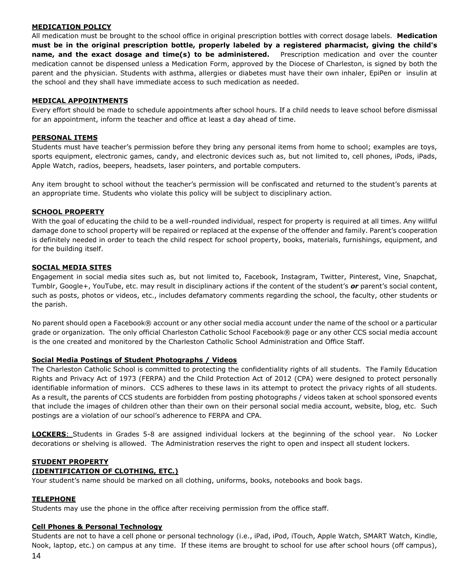# **MEDICATION POLICY**

All medication must be brought to the school office in original prescription bottles with correct dosage labels. **Medication must be in the original prescription bottle, properly labeled by a registered pharmacist, giving the child's name, and the exact dosage and time(s) to be administered.** Prescription medication and over the counter medication cannot be dispensed unless a Medication Form, approved by the Diocese of Charleston, is signed by both the parent and the physician. Students with asthma, allergies or diabetes must have their own inhaler, EpiPen or insulin at the school and they shall have immediate access to such medication as needed.

# **MEDICAL APPOINTMENTS**

Every effort should be made to schedule appointments after school hours. If a child needs to leave school before dismissal for an appointment, inform the teacher and office at least a day ahead of time.

#### **PERSONAL ITEMS**

Students must have teacher's permission before they bring any personal items from home to school; examples are toys, sports equipment, electronic games, candy, and electronic devices such as, but not limited to, cell phones, iPods, iPads, Apple Watch, radios, beepers, headsets, laser pointers, and portable computers.

Any item brought to school without the teacher's permission will be confiscated and returned to the student's parents at an appropriate time. Students who violate this policy will be subject to disciplinary action.

#### **SCHOOL PROPERTY**

With the goal of educating the child to be a well-rounded individual, respect for property is required at all times. Any willful damage done to school property will be repaired or replaced at the expense of the offender and family. Parent's cooperation is definitely needed in order to teach the child respect for school property, books, materials, furnishings, equipment, and for the building itself.

# **SOCIAL MEDIA SITES**

Engagement in social media sites such as, but not limited to, Facebook, Instagram, Twitter, Pinterest, Vine, Snapchat, Tumblr, Google+, YouTube, etc. may result in disciplinary actions if the content of the student's *or* parent's social content, such as posts, photos or videos, etc., includes defamatory comments regarding the school, the faculty, other students or the parish.

No parent should open a Facebook® account or any other social media account under the name of the school or a particular grade or organization. The only official Charleston Catholic School Facebook® page or any other CCS social media account is the one created and monitored by the Charleston Catholic School Administration and Office Staff.

#### **Social Media Postings of Student Photographs / Videos**

The Charleston Catholic School is committed to protecting the confidentiality rights of all students. The Family Education Rights and Privacy Act of 1973 (FERPA) and the Child Protection Act of 2012 (CPA) were designed to protect personally identifiable information of minors. CCS adheres to these laws in its attempt to protect the privacy rights of all students. As a result, the parents of CCS students are forbidden from posting photographs / videos taken at school sponsored events that include the images of children other than their own on their personal social media account, website, blog, etc. Such postings are a violation of our school's adherence to FERPA and CPA.

**LOCKERS**: Students in Grades 5-8 are assigned individual lockers at the beginning of the school year.No Locker decorations or shelving is allowed. The Administration reserves the right to open and inspect all student lockers.

# **STUDENT PROPERTY**

# **(IDENTIFICATION OF CLOTHING, ETC.)**

Your student's name should be marked on all clothing, uniforms, books, notebooks and book bags.

#### **TELEPHONE**

Students may use the phone in the office after receiving permission from the office staff.

#### **Cell Phones & Personal Technology**

Students are not to have a cell phone or personal technology (i.e., iPad, iPod, iTouch, Apple Watch, SMART Watch, Kindle, Nook, laptop, etc.) on campus at any time. If these items are brought to school for use after school hours (off campus),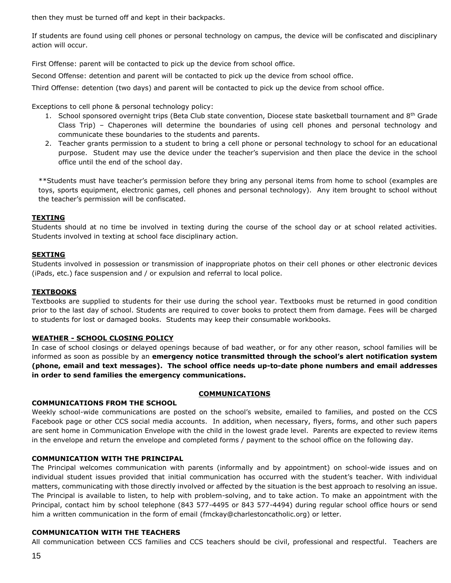then they must be turned off and kept in their backpacks.

If students are found using cell phones or personal technology on campus, the device will be confiscated and disciplinary action will occur.

First Offense: parent will be contacted to pick up the device from school office.

Second Offense: detention and parent will be contacted to pick up the device from school office.

Third Offense: detention (two days) and parent will be contacted to pick up the device from school office.

Exceptions to cell phone & personal technology policy:

- 1. School sponsored overnight trips (Beta Club state convention, Diocese state basketball tournament and 8<sup>th</sup> Grade Class Trip) – Chaperones will determine the boundaries of using cell phones and personal technology and communicate these boundaries to the students and parents.
- 2. Teacher grants permission to a student to bring a cell phone or personal technology to school for an educational purpose. Student may use the device under the teacher's supervision and then place the device in the school office until the end of the school day.

\*\*Students must have teacher's permission before they bring any personal items from home to school (examples are toys, sports equipment, electronic games, cell phones and personal technology). Any item brought to school without the teacher's permission will be confiscated.

# **TEXTING**

Students should at no time be involved in texting during the course of the school day or at school related activities. Students involved in texting at school face disciplinary action.

#### **SEXTING**

Students involved in possession or transmission of inappropriate photos on their cell phones or other electronic devices (iPads, etc.) face suspension and / or expulsion and referral to local police.

#### **TEXTBOOKS**

Textbooks are supplied to students for their use during the school year. Textbooks must be returned in good condition prior to the last day of school. Students are required to cover books to protect them from damage. Fees will be charged to students for lost or damaged books. Students may keep their consumable workbooks.

#### **WEATHER - SCHOOL CLOSING POLICY**

In case of school closings or delayed openings because of bad weather, or for any other reason, school families will be informed as soon as possible by an **emergency notice transmitted through the school's alert notification system (phone, email and text messages). The school office needs up-to-date phone numbers and email addresses in order to send families the emergency communications.**

#### **COMMUNICATIONS**

#### **COMMUNICATIONS FROM THE SCHOOL**

Weekly school-wide communications are posted on the school's website, emailed to families, and posted on the CCS Facebook page or other CCS social media accounts. In addition, when necessary, flyers, forms, and other such papers are sent home in Communication Envelope with the child in the lowest grade level. Parents are expected to review items in the envelope and return the envelope and completed forms / payment to the school office on the following day.

#### **COMMUNICATION WITH THE PRINCIPAL**

The Principal welcomes communication with parents (informally and by appointment) on school-wide issues and on individual student issues provided that initial communication has occurred with the student's teacher. With individual matters, communicating with those directly involved or affected by the situation is the best approach to resolving an issue. The Principal is available to listen, to help with problem-solving, and to take action. To make an appointment with the Principal, contact him by school telephone (843 577-4495 or 843 577-4494) during regular school office hours or send him a written communication in the form of email (fmckay@charlestoncatholic.org) or letter.

#### **COMMUNICATION WITH THE TEACHERS**

All communication between CCS families and CCS teachers should be civil, professional and respectful. Teachers are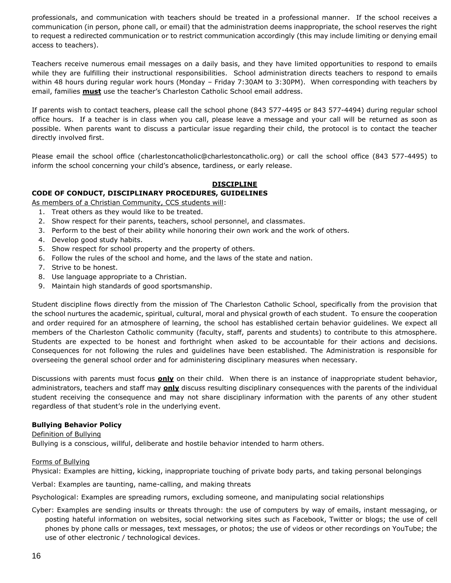professionals, and communication with teachers should be treated in a professional manner. If the school receives a communication (in person, phone call, or email) that the administration deems inappropriate, the school reserves the right to request a redirected communication or to restrict communication accordingly (this may include limiting or denying email access to teachers).

Teachers receive numerous email messages on a daily basis, and they have limited opportunities to respond to emails while they are fulfilling their instructional responsibilities. School administration directs teachers to respond to emails within 48 hours during regular work hours (Monday – Friday 7:30AM to 3:30PM). When corresponding with teachers by email, families **must** use the teacher's Charleston Catholic School email address.

If parents wish to contact teachers, please call the school phone (843 577-4495 or 843 577-4494) during regular school office hours. If a teacher is in class when you call, please leave a message and your call will be returned as soon as possible. When parents want to discuss a particular issue regarding their child, the protocol is to contact the teacher directly involved first.

Please email the school office (charlestoncatholic@charlestoncatholic.org) or call the school office (843 577-4495) to inform the school concerning your child's absence, tardiness, or early release.

# **DISCIPLINE**

# **CODE OF CONDUCT, DISCIPLINARY PROCEDURES, GUIDELINES**

As members of a Christian Community, CCS students will:

- 1. Treat others as they would like to be treated.
- 2. Show respect for their parents, teachers, school personnel, and classmates.
- 3. Perform to the best of their ability while honoring their own work and the work of others.
- 4. Develop good study habits.
- 5. Show respect for school property and the property of others.
- 6. Follow the rules of the school and home, and the laws of the state and nation.
- 7. Strive to be honest.
- 8. Use language appropriate to a Christian.
- 9. Maintain high standards of good sportsmanship.

Student discipline flows directly from the mission of The Charleston Catholic School, specifically from the provision that the school nurtures the academic, spiritual, cultural, moral and physical growth of each student. To ensure the cooperation and order required for an atmosphere of learning, the school has established certain behavior guidelines. We expect all members of the Charleston Catholic community (faculty, staff, parents and students) to contribute to this atmosphere. Students are expected to be honest and forthright when asked to be accountable for their actions and decisions. Consequences for not following the rules and guidelines have been established. The Administration is responsible for overseeing the general school order and for administering disciplinary measures when necessary.

Discussions with parents must focus **only** on their child. When there is an instance of inappropriate student behavior, administrators, teachers and staff may **only** discuss resulting disciplinary consequences with the parents of the individual student receiving the consequence and may not share disciplinary information with the parents of any other student regardless of that student's role in the underlying event.

#### **Bullying Behavior Policy**

#### Definition of Bullying

Bullying is a conscious, willful, deliberate and hostile behavior intended to harm others.

#### Forms of Bullying

Physical: Examples are hitting, kicking, inappropriate touching of private body parts, and taking personal belongings

Verbal: Examples are taunting, name-calling, and making threats

Psychological: Examples are spreading rumors, excluding someone, and manipulating social relationships

Cyber: Examples are sending insults or threats through: the use of computers by way of emails, instant messaging, or posting hateful information on websites, social networking sites such as Facebook, Twitter or blogs; the use of cell phones by phone calls or messages, text messages, or photos; the use of videos or other recordings on YouTube; the use of other electronic / technological devices.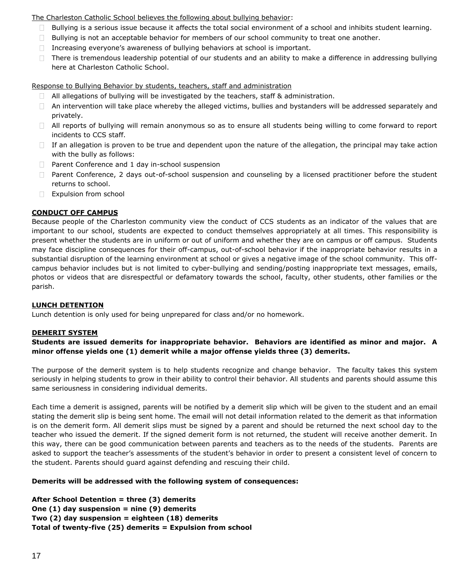# The Charleston Catholic School believes the following about bullying behavior:

- $\Box$  Bullying is a serious issue because it affects the total social environment of a school and inhibits student learning.
- $\Box$  Bullying is not an acceptable behavior for members of our school community to treat one another.
- Increasing everyone's awareness of bullying behaviors at school is important.
- $\Box$  There is tremendous leadership potential of our students and an ability to make a difference in addressing bullying here at Charleston Catholic School.

Response to Bullying Behavior by students, teachers, staff and administration

- $\Box$  All allegations of bullying will be investigated by the teachers, staff & administration.
- $\Box$  An intervention will take place whereby the alleged victims, bullies and bystanders will be addressed separately and privately.
- $\Box$  All reports of bullying will remain anonymous so as to ensure all students being willing to come forward to report incidents to CCS staff.
- $\Box$  If an allegation is proven to be true and dependent upon the nature of the allegation, the principal may take action with the bully as follows:
- $\Box$  Parent Conference and 1 day in-school suspension
- $\Box$  Parent Conference, 2 days out-of-school suspension and counseling by a licensed practitioner before the student returns to school.
- Expulsion from school

# **CONDUCT OFF CAMPUS**

Because people of the Charleston community view the conduct of CCS students as an indicator of the values that are important to our school, students are expected to conduct themselves appropriately at all times. This responsibility is present whether the students are in uniform or out of uniform and whether they are on campus or off campus. Students may face discipline consequences for their off-campus, out-of-school behavior if the inappropriate behavior results in a substantial disruption of the learning environment at school or gives a negative image of the school community. This offcampus behavior includes but is not limited to cyber-bullying and sending/posting inappropriate text messages, emails, photos or videos that are disrespectful or defamatory towards the school, faculty, other students, other families or the parish.

#### **LUNCH DETENTION**

Lunch detention is only used for being unprepared for class and/or no homework.

#### **DEMERIT SYSTEM**

**Students are issued demerits for inappropriate behavior. Behaviors are identified as minor and major. A minor offense yields one (1) demerit while a major offense yields three (3) demerits.**

The purpose of the demerit system is to help students recognize and change behavior. The faculty takes this system seriously in helping students to grow in their ability to control their behavior. All students and parents should assume this same seriousness in considering individual demerits.

Each time a demerit is assigned, parents will be notified by a demerit slip which will be given to the student and an email stating the demerit slip is being sent home. The email will not detail information related to the demerit as that information is on the demerit form. All demerit slips must be signed by a parent and should be returned the next school day to the teacher who issued the demerit. If the signed demerit form is not returned, the student will receive another demerit. In this way, there can be good communication between parents and teachers as to the needs of the students. Parents are asked to support the teacher's assessments of the student's behavior in order to present a consistent level of concern to the student. Parents should guard against defending and rescuing their child.

# **Demerits will be addressed with the following system of consequences:**

**After School Detention = three (3) demerits One (1) day suspension = nine (9) demerits Two (2) day suspension = eighteen (18) demerits Total of twenty-five (25) demerits = Expulsion from school**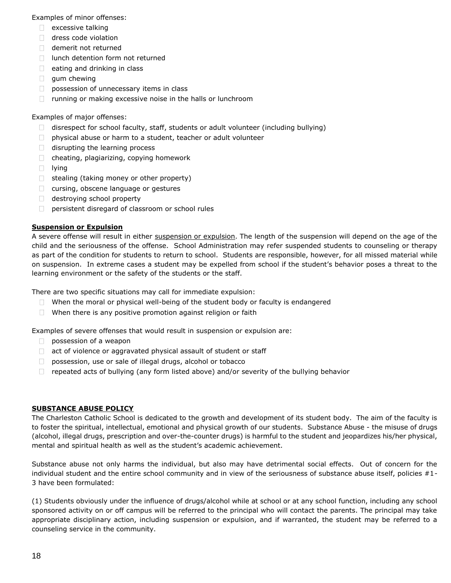Examples of minor offenses:

- $\Box$  excessive talking
- dress code violation
- demerit not returned
- $\Box$  lunch detention form not returned
- $\Box$  eating and drinking in class
- $\Box$  gum chewing
- **possession of unnecessary items in class**
- $\Box$  running or making excessive noise in the halls or lunchroom

# Examples of major offenses:

- $\Box$  disrespect for school faculty, staff, students or adult volunteer (including bullying)
- $\Box$  physical abuse or harm to a student, teacher or adult volunteer
- $\Box$  disrupting the learning process
- $\Box$  cheating, plagiarizing, copying homework
- $\Box$  lying
- $\Box$  stealing (taking money or other property)
- $\Box$  cursing, obscene language or gestures
- destroying school property
- **persistent disregard of classroom or school rules**

# **Suspension or Expulsion**

A severe offense will result in either suspension or expulsion. The length of the suspension will depend on the age of the child and the seriousness of the offense. School Administration may refer suspended students to counseling or therapy as part of the condition for students to return to school. Students are responsible, however, for all missed material while on suspension. In extreme cases a student may be expelled from school if the student's behavior poses a threat to the learning environment or the safety of the students or the staff.

There are two specific situations may call for immediate expulsion:

- $\Box$  When the moral or physical well-being of the student body or faculty is endangered
- $\Box$  When there is any positive promotion against religion or faith

Examples of severe offenses that would result in suspension or expulsion are:

- $\Box$  possession of a weapon
- act of violence or aggravated physical assault of student or staff
- $\Box$ possession, use or sale of illegal drugs, alcohol or tobacco
- $\Box$  repeated acts of bullying (any form listed above) and/or severity of the bullying behavior

# **SUBSTANCE ABUSE POLICY**

The Charleston Catholic School is dedicated to the growth and development of its student body. The aim of the faculty is to foster the spiritual, intellectual, emotional and physical growth of our students. Substance Abuse - the misuse of drugs (alcohol, illegal drugs, prescription and over-the-counter drugs) is harmful to the student and jeopardizes his/her physical, mental and spiritual health as well as the student's academic achievement.

Substance abuse not only harms the individual, but also may have detrimental social effects. Out of concern for the individual student and the entire school community and in view of the seriousness of substance abuse itself, policies #1- 3 have been formulated:

(1) Students obviously under the influence of drugs/alcohol while at school or at any school function, including any school sponsored activity on or off campus will be referred to the principal who will contact the parents. The principal may take appropriate disciplinary action, including suspension or expulsion, and if warranted, the student may be referred to a counseling service in the community.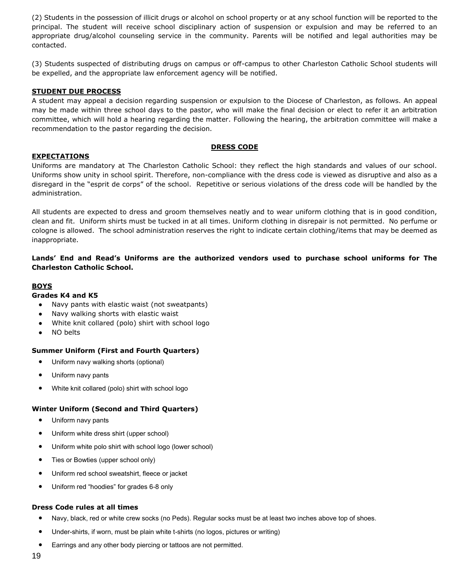(2) Students in the possession of illicit drugs or alcohol on school property or at any school function will be reported to the principal. The student will receive school disciplinary action of suspension or expulsion and may be referred to an appropriate drug/alcohol counseling service in the community. Parents will be notified and legal authorities may be contacted.

(3) Students suspected of distributing drugs on campus or off-campus to other Charleston Catholic School students will be expelled, and the appropriate law enforcement agency will be notified.

#### **STUDENT DUE PROCESS**

A student may appeal a decision regarding suspension or expulsion to the Diocese of Charleston, as follows. An appeal may be made within three school days to the pastor, who will make the final decision or elect to refer it an arbitration committee, which will hold a hearing regarding the matter. Following the hearing, the arbitration committee will make a recommendation to the pastor regarding the decision.

#### **DRESS CODE**

#### **EXPECTATIONS**

Uniforms are mandatory at The Charleston Catholic School: they reflect the high standards and values of our school. Uniforms show unity in school spirit. Therefore, non-compliance with the dress code is viewed as disruptive and also as a disregard in the "esprit de corps" of the school. Repetitive or serious violations of the dress code will be handled by the administration.

All students are expected to dress and groom themselves neatly and to wear uniform clothing that is in good condition, clean and fit. Uniform shirts must be tucked in at all times. Uniform clothing in disrepair is not permitted. No perfume or cologne is allowed. The school administration reserves the right to indicate certain clothing/items that may be deemed as inappropriate.

# **Lands' End and Read's Uniforms are the authorized vendors used to purchase school uniforms for The Charleston Catholic School.**

# **BOYS**

#### **Grades K4 and K5**

- Navy pants with elastic waist (not sweatpants)
- Navy walking shorts with elastic waist
- White knit collared (polo) shirt with school logo
- NO belts

# **Summer Uniform (First and Fourth Quarters)**

- Uniform navy walking shorts (optional)
- Uniform navy pants
- White knit collared (polo) shirt with school logo

#### **Winter Uniform (Second and Third Quarters)**

- Uniform navy pants
- Uniform white dress shirt (upper school)
- Uniform white polo shirt with school logo (lower school)
- Ties or Bowties (upper school only)
- Uniform red school sweatshirt, fleece or jacket
- Uniform red "hoodies" for grades 6-8 only

#### **Dress Code rules at all times**

- Navy, black, red or white crew socks (no Peds). Regular socks must be at least two inches above top of shoes.
- Under-shirts, if worn, must be plain white t-shirts (no logos, pictures or writing)
- Earrings and any other body piercing or tattoos are not permitted.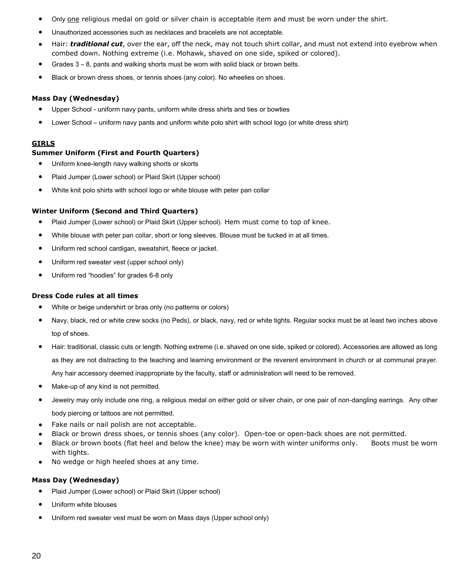- Only one religious medal on gold or silver chain is acceptable item and must be worn under the shirt.
- Unauthorized accessories such as necklaces and bracelets are not acceptable.
- Hair: **traditional cut**, over the ear, off the neck, may not touch shirt collar, and must not extend into eyebrow when combed down. Nothing extreme (i.e. Mohawk, shaved on one side, spiked or colored).
- Grades  $3 8$ , pants and walking shorts must be worn with solid black or brown belts.
- Black or brown dress shoes, or tennis shoes (any color). No wheelies on shoes.

#### **Mass Day (Wednesday)**

- Upper School uniform navy pants, uniform white dress shirts and ties or bowties
- Lower School uniform navy pants and uniform white polo shirt with school logo (or white dress shirt)

#### **GIRLS**

# **Summer Uniform (First and Fourth Quarters)**

- Uniform knee-length navy walking shorts or skorts
- Plaid Jumper (Lower school) or Plaid Skirt (Upper school)
- White knit polo shirts with school logo or white blouse with peter pan collar

# **Winter Uniform (Second and Third Quarters)**

- Plaid Jumper (Lower school) or Plaid Skirt (Upper school). Hem must come to top of knee.
- White blouse with peter pan collar, short or long sleeves. Blouse must be tucked in at all times.
- Uniform red school cardigan, sweatshirt, fleece or jacket.
- Uniform red sweater vest (upper school only)
- Uniform red "hoodies" for grades 6-8 only

#### **Dress Code rules at all times**

- White or beige undershirt or bras only (no patterns or colors)
- Navy, black, red or white crew socks (no Peds), or black, navy, red or white tights. Regular socks must be at least two inches above top of shoes.
- Hair: traditional, classic cuts or length. Nothing extreme (i.e. shaved on one side, spiked or colored). Accessories are allowed as long as they are not distracting to the teaching and learning environment or the reverent environment in church or at communal prayer. Any hair accessory deemed inappropriate by the faculty, staff or administration will need to be removed.
- Make-up of any kind is not permitted.
- Jewelry may only include one ring, a religious medal on either gold or silver chain, or one pair of non-dangling earrings. Any other body piercing or tattoos are not permitted.
- Fake nails or nail polish are not acceptable.
- Black or brown dress shoes, or tennis shoes (any color). Open-toe or open-back shoes are not permitted.
- Black or brown boots (flat heel and below the knee) may be worn with winter uniforms only. Boots must be worn with tights.
- No wedge or high heeled shoes at any time.

#### **Mass Day (Wednesday)**

- Plaid Jumper (Lower school) or Plaid Skirt (Upper school)
- Uniform white blouses
- Uniform red sweater vest must be worn on Mass days (Upper school only)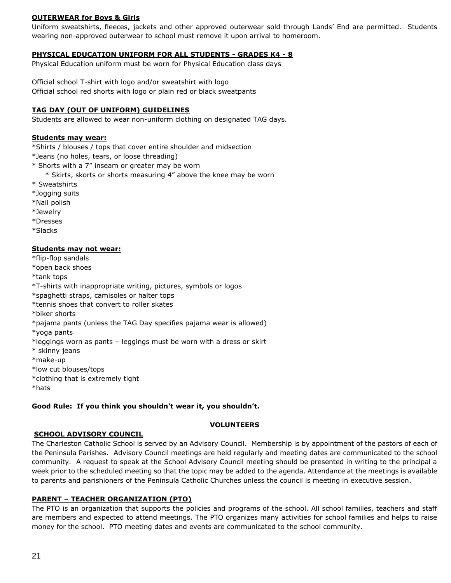# **OUTERWEAR for Boys & Girls**

Uniform sweatshirts, fleeces, jackets and other approved outerwear sold through Lands' End are permitted. Students wearing non-approved outerwear to school must remove it upon arrival to homeroom.

# **PHYSICAL EDUCATION UNIFORM FOR ALL STUDENTS - GRADES K4 - 8**

Physical Education uniform must be worn for Physical Education class days

Official school T-shirt with logo and/or sweatshirt with logo Official school red shorts with logo or plain red or black sweatpants

# **TAG DAY (OUT OF UNIFORM) GUIDELINES**

Students are allowed to wear non-uniform clothing on designated TAG days.

#### **Students may wear:**

\*Shirts / blouses / tops that cover entire shoulder and midsection

\*Jeans (no holes, tears, or loose threading)

- \* Shorts with a 7" inseam or greater may be worn
	- \* Skirts, skorts or shorts measuring 4" above the knee may be worn
- \* Sweatshirts
- \*Jogging suits
- \*Nail polish
- \*Jewelry
- \*Dresses
- \*Slacks

#### **Students may not wear:**

- \*flip-flop sandals
- \*open back shoes
- \*tank tops
- \*T-shirts with inappropriate writing, pictures, symbols or logos
- \*spaghetti straps, camisoles or halter tops
- \*tennis shoes that convert to roller skates
- \*biker shorts
- \*pajama pants (unless the TAG Day specifies pajama wear is allowed)
- \*yoga pants
- \*leggings worn as pants leggings must be worn with a dress or skirt
- \* skinny jeans
- \*make-up
- \*low cut blouses/tops
- \*clothing that is extremely tight
- \*hats

#### **Good Rule: If you think you shouldn't wear it, you shouldn't.**

#### **VOLUNTEERS**

#### **SCHOOL ADVISORY COUNCIL**

The Charleston Catholic School is served by an Advisory Council. Membership is by appointment of the pastors of each of the Peninsula Parishes. Advisory Council meetings are held regularly and meeting dates are communicated to the school community. A request to speak at the School Advisory Council meeting should be presented in writing to the principal a week prior to the scheduled meeting so that the topic may be added to the agenda. Attendance at the meetings is available to parents and parishioners of the Peninsula Catholic Churches unless the council is meeting in executive session.

#### **PARENT – TEACHER ORGANIZATION (PTO)**

The PTO is an organization that supports the policies and programs of the school. All school families, teachers and staff are members and expected to attend meetings. The PTO organizes many activities for school families and helps to raise money for the school. PTO meeting dates and events are communicated to the school community.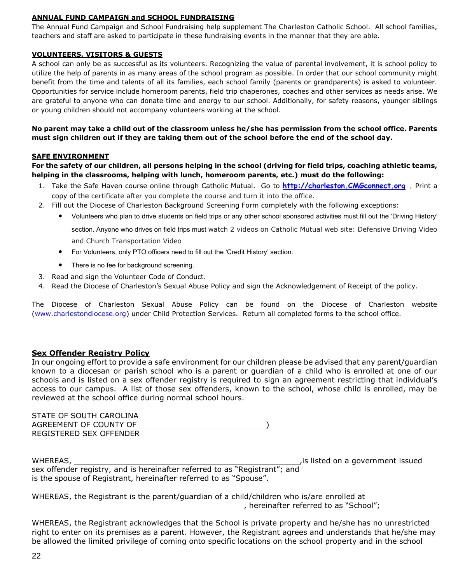#### **ANNUAL FUND CAMPAIGN and SCHOOL FUNDRAISING**

The Annual Fund Campaign and School Fundraising help supplement The Charleston Catholic School. All school families, teachers and staff are asked to participate in these fundraising events in the manner that they are able.

# **VOLUNTEERS, VISITORS & GUESTS**

A school can only be as successful as its volunteers. Recognizing the value of parental involvement, it is school policy to utilize the help of parents in as many areas of the school program as possible. In order that our school community might benefit from the time and talents of all its families, each school family (parents or grandparents) is asked to volunteer. Opportunities for service include homeroom parents, field trip chaperones, coaches and other services as needs arise. We are grateful to anyone who can donate time and energy to our school. Additionally, for safety reasons, younger siblings or young children should not accompany volunteers working at the school.

**No parent may take a child out of the classroom unless he/she has permission from the school office. Parents must sign children out if they are taking them out of the school before the end of the school day.** 

# **SAFE ENVIRONMENT**

**For the safety of our children, all persons helping in the school (driving for field trips, coaching athletic teams, helping in the classrooms, helping with lunch, homeroom parents, etc.) must do the following:**

- 1. Take the Safe Haven course online through Catholic Mutual. Go to **[http://charleston.CMGconnect.org](http://charleston.cmgconnect.org/) .** Print a copy of the certificate after you complete the course and turn it into the office.
- 2. Fill out the Diocese of Charleston Background Screening Form completely with the following exceptions:
	- Volunteers who plan to drive students on field trips or any other school sponsored activities must fill out the 'Driving History'

section. Anyone who drives on field trips must watch 2 videos on Catholic Mutual web site: Defensive Driving Video and Church Transportation Video

- For Volunteers, only PTO officers need to fill out the 'Credit History' section.
- There is no fee for background screening.
- 3. Read and sign the Volunteer Code of Conduct.
- 4. Read the Diocese of Charleston's Sexual Abuse Policy and sign the Acknowledgement of Receipt of the policy.

The Diocese of Charleston Sexual Abuse Policy can be found on the Diocese of Charleston website [\(www.charlestondiocese.org\)](http://www.charlestondiocese.org/) under Child Protection Services. Return all completed forms to the school office.

# **Sex Offender Registry Policy**

In our ongoing effort to provide a safe environment for our children please be advised that any parent/guardian known to a diocesan or parish school who is a parent or guardian of a child who is enrolled at one of our schools and is listed on a sex offender registry is required to sign an agreement restricting that individual's access to our campus. A list of those sex offenders, known to the school, whose child is enrolled, may be reviewed at the school office during normal school hours.

| STATE OF SOUTH CAROLINA |  |
|-------------------------|--|
| AGREEMENT OF COUNTY OF  |  |
| REGISTERED SEX OFFENDER |  |

| WHEREAS,                                                                   | is listed on a government issued |
|----------------------------------------------------------------------------|----------------------------------|
| sex offender registry, and is hereinafter referred to as "Registrant"; and |                                  |
| is the spouse of Registrant, hereinafter referred to as "Spouse".          |                                  |

WHEREAS, the Registrant is the parent/guardian of a child/children who is/are enrolled at , hereinafter referred to as "School";

WHEREAS, the Registrant acknowledges that the School is private property and he/she has no unrestricted right to enter on its premises as a parent. However, the Registrant agrees and understands that he/she may be allowed the limited privilege of coming onto specific locations on the school property and in the school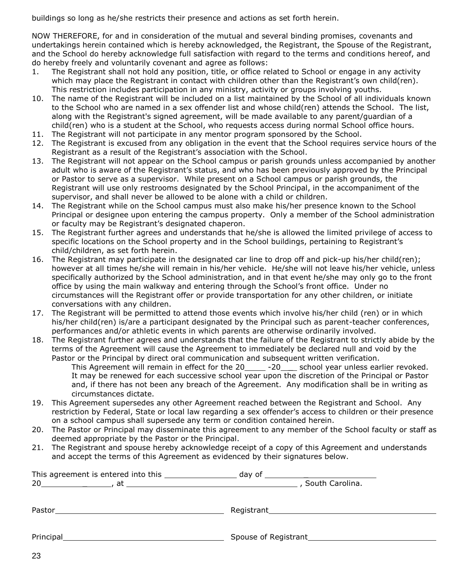buildings so long as he/she restricts their presence and actions as set forth herein.

NOW THEREFORE, for and in consideration of the mutual and several binding promises, covenants and undertakings herein contained which is hereby acknowledged, the Registrant, the Spouse of the Registrant, and the School do hereby acknowledge full satisfaction with regard to the terms and conditions hereof, and do hereby freely and voluntarily covenant and agree as follows:

- 1. The Registrant shall not hold any position, title, or office related to School or engage in any activity which may place the Registrant in contact with children other than the Registrant's own child(ren). This restriction includes participation in any ministry, activity or groups involving youths.
- 10. The name of the Registrant will be included on a list maintained by the School of all individuals known to the School who are named in a sex offender list and whose child(ren) attends the School. The list, along with the Registrant's signed agreement, will be made available to any parent/guardian of a child(ren) who is a student at the School, who requests access during normal School office hours.
- 11. The Registrant will not participate in any mentor program sponsored by the School.
- 12. The Registrant is excused from any obligation in the event that the School requires service hours of the Registrant as a result of the Registrant's association with the School.
- 13. The Registrant will not appear on the School campus or parish grounds unless accompanied by another adult who is aware of the Registrant's status, and who has been previously approved by the Principal or Pastor to serve as a supervisor. While present on a School campus or parish grounds, the Registrant will use only restrooms designated by the School Principal, in the accompaniment of the supervisor, and shall never be allowed to be alone with a child or children.
- 14. The Registrant while on the School campus must also make his/her presence known to the School Principal or designee upon entering the campus property. Only a member of the School administration or faculty may be Registrant's designated chaperon.
- 15. The Registrant further agrees and understands that he/she is allowed the limited privilege of access to specific locations on the School property and in the School buildings, pertaining to Registrant's child/children, as set forth herein.
- 16. The Registrant may participate in the designated car line to drop off and pick-up his/her child(ren); however at all times he/she will remain in his/her vehicle. He/she will not leave his/her vehicle, unless specifically authorized by the School administration, and in that event he/she may only go to the front office by using the main walkway and entering through the School's front office. Under no circumstances will the Registrant offer or provide transportation for any other children, or initiate conversations with any children.
- 17. The Registrant will be permitted to attend those events which involve his/her child (ren) or in which his/her child(ren) is/are a participant designated by the Principal such as parent-teacher conferences, performances and/or athletic events in which parents are otherwise ordinarily involved.
- 18. The Registrant further agrees and understands that the failure of the Registrant to strictly abide by the terms of the Agreement will cause the Agreement to immediately be declared null and void by the Pastor or the Principal by direct oral communication and subsequent written verification.

This Agreement will remain in effect for the 20\_\_\_\_\_ -20\_\_\_\_ school year unless earlier revoked. It may be renewed for each successive school year upon the discretion of the Principal or Pastor and, if there has not been any breach of the Agreement. Any modification shall be in writing as circumstances dictate.

- 19. This Agreement supersedes any other Agreement reached between the Registrant and School. Any restriction by Federal, State or local law regarding a sex offender's access to children or their presence on a school campus shall supersede any term or condition contained herein.
- 20. The Pastor or Principal may disseminate this agreement to any member of the School faculty or staff as deemed appropriate by the Pastor or the Principal.
- 21. The Registrant and spouse hereby acknowledge receipt of a copy of this Agreement and understands and accept the terms of this Agreement as evidenced by their signatures below.

|           | day of<br>South Carolina.                                                                                                                                                                                                      |
|-----------|--------------------------------------------------------------------------------------------------------------------------------------------------------------------------------------------------------------------------------|
| Pastor    |                                                                                                                                                                                                                                |
| Principal | Spouse of Registrant Management Contains a series of the series of the series of the series of the series of the series of the series of the series of the series of the series of the series of the series of the series of t |